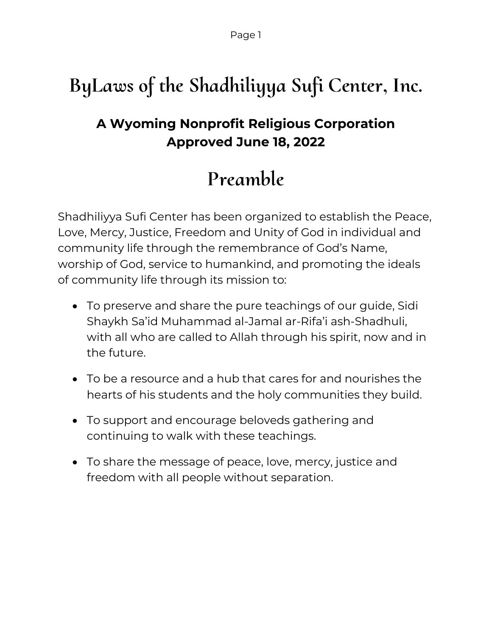# **ByLaws of the Shadhiliyya Sufi Center, Inc.**

## **A Wyoming Nonprofit Religious Corporation Approved June 18, 2022**

## **Preamble**

Shadhiliyya Sufi Center has been organized to establish the Peace, Love, Mercy, Justice, Freedom and Unity of God in individual and community life through the remembrance of God's Name, worship of God, service to humankind, and promoting the ideals of community life through its mission to:

- To preserve and share the pure teachings of our guide, Sidi Shaykh Sa'id Muhammad al-Jamal ar-Rifa'i ash-Shadhuli, with all who are called to Allah through his spirit, now and in the future.
- To be a resource and a hub that cares for and nourishes the hearts of his students and the holy communities they build.
- To support and encourage beloveds gathering and continuing to walk with these teachings.
- To share the message of peace, love, mercy, justice and freedom with all people without separation.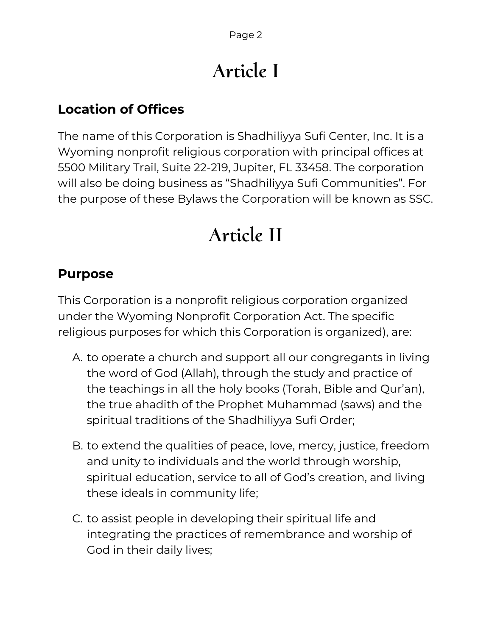# **Article I**

## **Location of Offices**

The name of this Corporation is Shadhiliyya Sufi Center, Inc. It is a Wyoming nonprofit religious corporation with principal offices at 5500 Military Trail, Suite 22-219, Jupiter, FL 33458. The corporation will also be doing business as "Shadhiliyya Sufi Communities". For the purpose of these Bylaws the Corporation will be known as SSC.

## **Article II**

### **Purpose**

This Corporation is a nonprofit religious corporation organized under the Wyoming Nonprofit Corporation Act. The specific religious purposes for which this Corporation is organized), are:

- A. to operate a church and support all our congregants in living the word of God (Allah), through the study and practice of the teachings in all the holy books (Torah, Bible and Qur'an), the true ahadith of the Prophet Muhammad (saws) and the spiritual traditions of the Shadhiliyya Sufi Order;
- B. to extend the qualities of peace, love, mercy, justice, freedom and unity to individuals and the world through worship, spiritual education, service to all of God's creation, and living these ideals in community life;
- C. to assist people in developing their spiritual life and integrating the practices of remembrance and worship of God in their daily lives;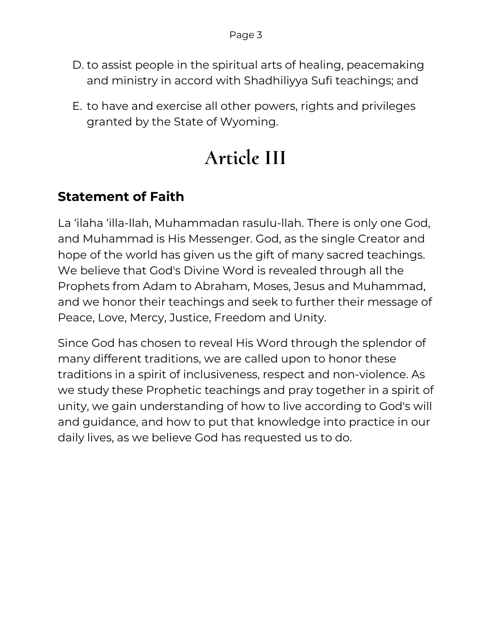- D. to assist people in the spiritual arts of healing, peacemaking and ministry in accord with Shadhiliyya Sufi teachings; and
- E. to have and exercise all other powers, rights and privileges granted by the State of Wyoming.

# **Article III**

## **Statement of Faith**

La 'ilaha 'illa-llah, Muhammadan rasulu-llah. There is only one God, and Muhammad is His Messenger. God, as the single Creator and hope of the world has given us the gift of many sacred teachings. We believe that God's Divine Word is revealed through all the Prophets from Adam to Abraham, Moses, Jesus and Muhammad, and we honor their teachings and seek to further their message of Peace, Love, Mercy, Justice, Freedom and Unity.

Since God has chosen to reveal His Word through the splendor of many different traditions, we are called upon to honor these traditions in a spirit of inclusiveness, respect and non-violence. As we study these Prophetic teachings and pray together in a spirit of unity, we gain understanding of how to live according to God's will and guidance, and how to put that knowledge into practice in our daily lives, as we believe God has requested us to do.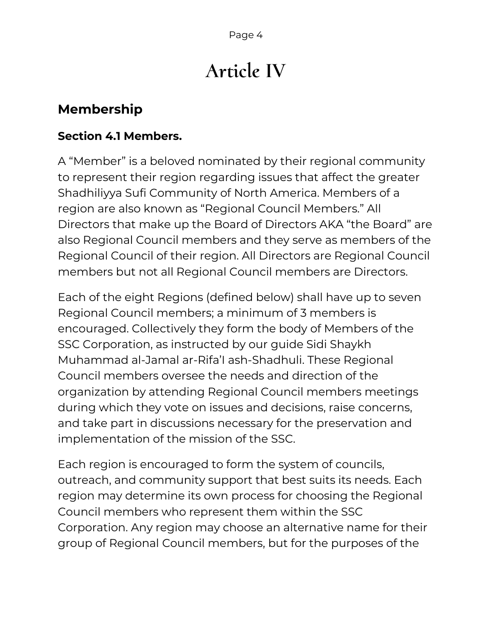# **Article IV**

## **Membership**

#### **Section 4.1 Members.**

A "Member" is a beloved nominated by their regional community to represent their region regarding issues that affect the greater Shadhiliyya Sufi Community of North America. Members of a region are also known as "Regional Council Members." All Directors that make up the Board of Directors AKA "the Board" are also Regional Council members and they serve as members of the Regional Council of their region. All Directors are Regional Council members but not all Regional Council members are Directors.

Each of the eight Regions (defined below) shall have up to seven Regional Council members; a minimum of 3 members is encouraged. Collectively they form the body of Members of the SSC Corporation, as instructed by our guide Sidi Shaykh Muhammad al-Jamal ar-Rifa'I ash-Shadhuli. These Regional Council members oversee the needs and direction of the organization by attending Regional Council members meetings during which they vote on issues and decisions, raise concerns, and take part in discussions necessary for the preservation and implementation of the mission of the SSC.

Each region is encouraged to form the system of councils, outreach, and community support that best suits its needs. Each region may determine its own process for choosing the Regional Council members who represent them within the SSC Corporation. Any region may choose an alternative name for their group of Regional Council members, but for the purposes of the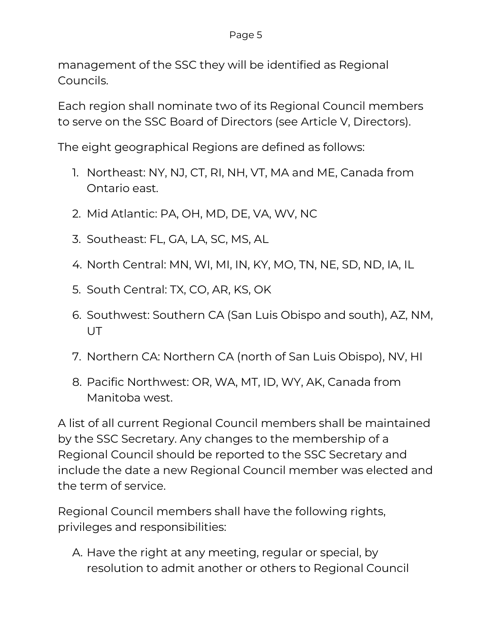#### Page 5

management of the SSC they will be identified as Regional Councils.

Each region shall nominate two of its Regional Council members to serve on the SSC Board of Directors (see Article V, Directors).

The eight geographical Regions are defined as follows:

- 1. Northeast: NY, NJ, CT, RI, NH, VT, MA and ME, Canada from Ontario east.
- 2. Mid Atlantic: PA, OH, MD, DE, VA, WV, NC
- 3. Southeast: FL, GA, LA, SC, MS, AL
- 4. North Central: MN, WI, MI, IN, KY, MO, TN, NE, SD, ND, IA, IL
- 5. South Central: TX, CO, AR, KS, OK
- 6. Southwest: Southern CA (San Luis Obispo and south), AZ, NM, **UT**
- 7. Northern CA: Northern CA (north of San Luis Obispo), NV, HI
- 8. Pacific Northwest: OR, WA, MT, ID, WY, AK, Canada from Manitoba west.

A list of all current Regional Council members shall be maintained by the SSC Secretary. Any changes to the membership of a Regional Council should be reported to the SSC Secretary and include the date a new Regional Council member was elected and the term of service.

Regional Council members shall have the following rights, privileges and responsibilities:

A. Have the right at any meeting, regular or special, by resolution to admit another or others to Regional Council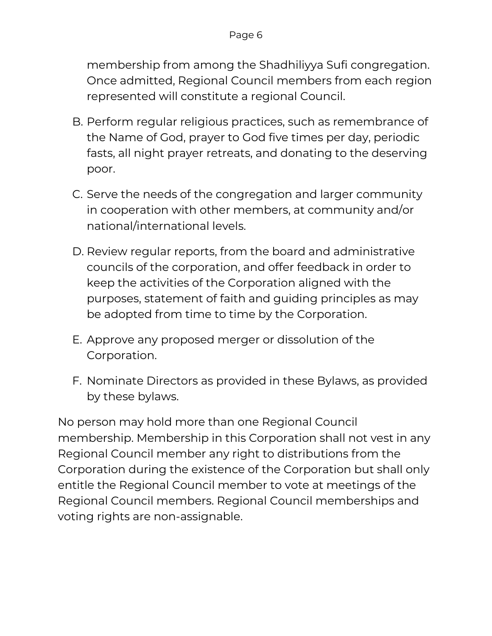membership from among the Shadhiliyya Sufi congregation. Once admitted, Regional Council members from each region represented will constitute a regional Council.

- B. Perform regular religious practices, such as remembrance of the Name of God, prayer to God five times per day, periodic fasts, all night prayer retreats, and donating to the deserving poor.
- C. Serve the needs of the congregation and larger community in cooperation with other members, at community and/or national/international levels.
- D. Review regular reports, from the board and administrative councils of the corporation, and offer feedback in order to keep the activities of the Corporation aligned with the purposes, statement of faith and guiding principles as may be adopted from time to time by the Corporation.
- E. Approve any proposed merger or dissolution of the Corporation.
- F. Nominate Directors as provided in these Bylaws, as provided by these bylaws.

No person may hold more than one Regional Council membership. Membership in this Corporation shall not vest in any Regional Council member any right to distributions from the Corporation during the existence of the Corporation but shall only entitle the Regional Council member to vote at meetings of the Regional Council members. Regional Council memberships and voting rights are non-assignable.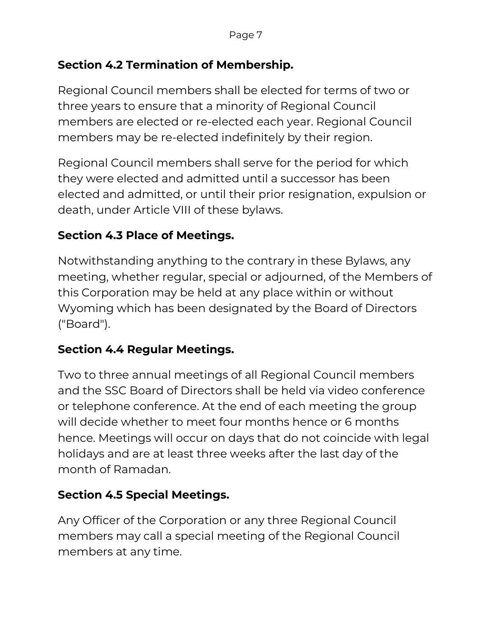#### **Section 4.2 Termination of Membership.**

Regional Council members shall be elected for terms of two or three years to ensure that a minority of Regional Council members are elected or re-elected each year. Regional Council members may be re-elected indefinitely by their region.

Regional Council members shall serve for the period for which they were elected and admitted until a successor has been elected and admitted, or until their prior resignation, expulsion or death, under Article VIII of these bylaws.

### **Section 4.3 Place of Meetings.**

Notwithstanding anything to the contrary in these Bylaws, any meeting, whether regular, special or adjourned, of the Members of this Corporation may be held at any place within or without Wyoming which has been designated by the Board of Directors ("Board").

#### **Section 4.4 Regular Meetings.**

Two to three annual meetings of all Regional Council members and the SSC Board of Directors shall be held via video conference or telephone conference. At the end of each meeting the group will decide whether to meet four months hence or 6 months hence. Meetings will occur on days that do not coincide with legal holidays and are at least three weeks after the last day of the month of Ramadan.

#### **Section 4.5 Special Meetings.**

Any Officer of the Corporation or any three Regional Council members may call a special meeting of the Regional Council members at any time.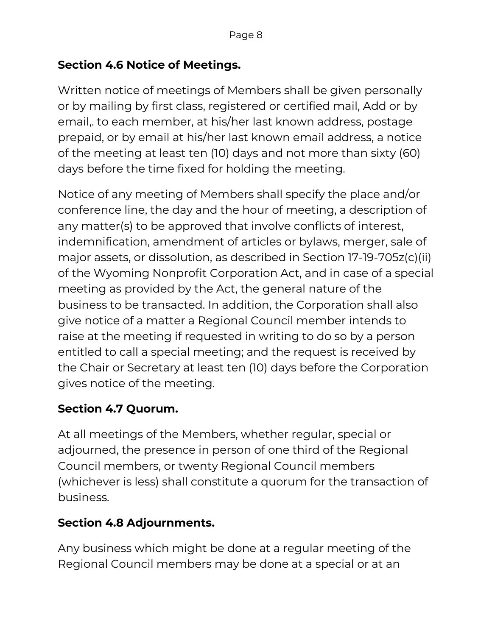#### **Section 4.6 Notice of Meetings.**

Written notice of meetings of Members shall be given personally or by mailing by first class, registered or certified mail, Add or by email,. to each member, at his/her last known address, postage prepaid, or by email at his/her last known email address, a notice of the meeting at least ten (10) days and not more than sixty (60) days before the time fixed for holding the meeting.

Notice of any meeting of Members shall specify the place and/or conference line, the day and the hour of meeting, a description of any matter(s) to be approved that involve conflicts of interest, indemnification, amendment of articles or bylaws, merger, sale of major assets, or dissolution, as described in Section 17-19-705z(c)(ii) of the Wyoming Nonprofit Corporation Act, and in case of a special meeting as provided by the Act, the general nature of the business to be transacted. In addition, the Corporation shall also give notice of a matter a Regional Council member intends to raise at the meeting if requested in writing to do so by a person entitled to call a special meeting; and the request is received by the Chair or Secretary at least ten (10) days before the Corporation gives notice of the meeting.

#### **Section 4.7 Quorum.**

At all meetings of the Members, whether regular, special or adjourned, the presence in person of one third of the Regional Council members, or twenty Regional Council members (whichever is less) shall constitute a quorum for the transaction of business.

#### **Section 4.8 Adjournments.**

Any business which might be done at a regular meeting of the Regional Council members may be done at a special or at an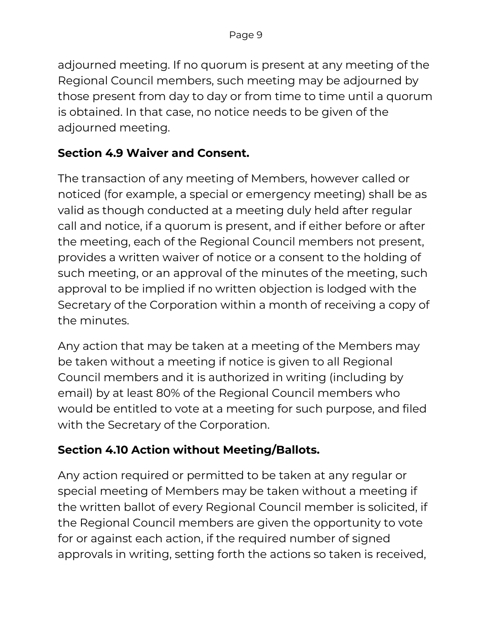adjourned meeting. If no quorum is present at any meeting of the Regional Council members, such meeting may be adjourned by those present from day to day or from time to time until a quorum is obtained. In that case, no notice needs to be given of the adjourned meeting.

#### **Section 4.9 Waiver and Consent.**

The transaction of any meeting of Members, however called or noticed (for example, a special or emergency meeting) shall be as valid as though conducted at a meeting duly held after regular call and notice, if a quorum is present, and if either before or after the meeting, each of the Regional Council members not present, provides a written waiver of notice or a consent to the holding of such meeting, or an approval of the minutes of the meeting, such approval to be implied if no written objection is lodged with the Secretary of the Corporation within a month of receiving a copy of the minutes.

Any action that may be taken at a meeting of the Members may be taken without a meeting if notice is given to all Regional Council members and it is authorized in writing (including by email) by at least 80% of the Regional Council members who would be entitled to vote at a meeting for such purpose, and filed with the Secretary of the Corporation.

#### **Section 4.10 Action without Meeting/Ballots.**

Any action required or permitted to be taken at any regular or special meeting of Members may be taken without a meeting if the written ballot of every Regional Council member is solicited, if the Regional Council members are given the opportunity to vote for or against each action, if the required number of signed approvals in writing, setting forth the actions so taken is received,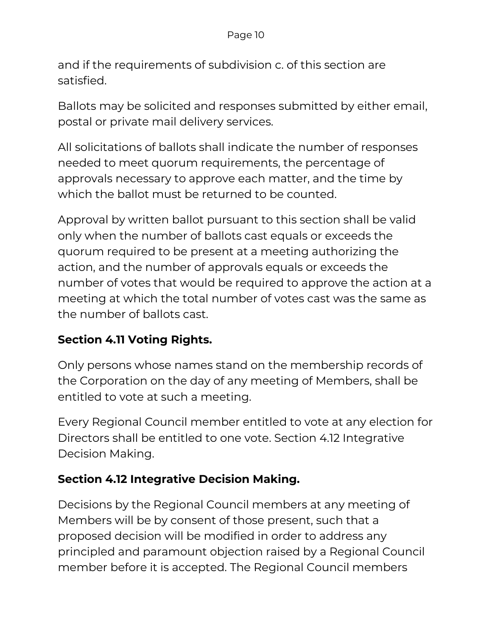and if the requirements of subdivision c. of this section are satisfied.

Ballots may be solicited and responses submitted by either email, postal or private mail delivery services.

All solicitations of ballots shall indicate the number of responses needed to meet quorum requirements, the percentage of approvals necessary to approve each matter, and the time by which the ballot must be returned to be counted.

Approval by written ballot pursuant to this section shall be valid only when the number of ballots cast equals or exceeds the quorum required to be present at a meeting authorizing the action, and the number of approvals equals or exceeds the number of votes that would be required to approve the action at a meeting at which the total number of votes cast was the same as the number of ballots cast.

## **Section 4.11 Voting Rights.**

Only persons whose names stand on the membership records of the Corporation on the day of any meeting of Members, shall be entitled to vote at such a meeting.

Every Regional Council member entitled to vote at any election for Directors shall be entitled to one vote. Section 4.12 Integrative Decision Making.

#### **Section 4.12 Integrative Decision Making.**

Decisions by the Regional Council members at any meeting of Members will be by consent of those present, such that a proposed decision will be modified in order to address any principled and paramount objection raised by a Regional Council member before it is accepted. The Regional Council members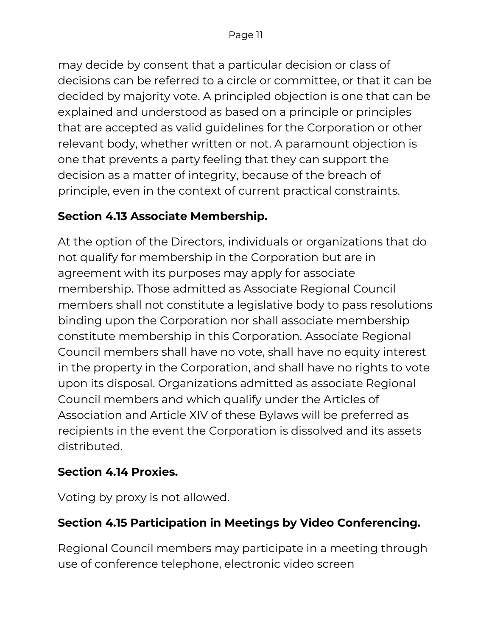may decide by consent that a particular decision or class of decisions can be referred to a circle or committee, or that it can be decided by majority vote. A principled objection is one that can be explained and understood as based on a principle or principles that are accepted as valid guidelines for the Corporation or other relevant body, whether written or not. A paramount objection is one that prevents a party feeling that they can support the decision as a matter of integrity, because of the breach of principle, even in the context of current practical constraints.

### **Section 4.13 Associate Membership.**

At the option of the Directors, individuals or organizations that do not qualify for membership in the Corporation but are in agreement with its purposes may apply for associate membership. Those admitted as Associate Regional Council members shall not constitute a legislative body to pass resolutions binding upon the Corporation nor shall associate membership constitute membership in this Corporation. Associate Regional Council members shall have no vote, shall have no equity interest in the property in the Corporation, and shall have no rights to vote upon its disposal. Organizations admitted as associate Regional Council members and which qualify under the Articles of Association and Article XIV of these Bylaws will be preferred as recipients in the event the Corporation is dissolved and its assets distributed.

#### **Section 4.14 Proxies.**

Voting by proxy is not allowed.

## **Section 4.15 Participation in Meetings by Video Conferencing.**

Regional Council members may participate in a meeting through use of conference telephone, electronic video screen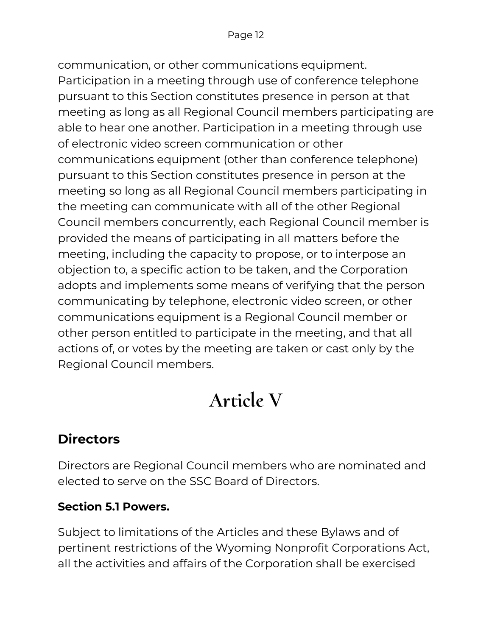communication, or other communications equipment. Participation in a meeting through use of conference telephone pursuant to this Section constitutes presence in person at that meeting as long as all Regional Council members participating are able to hear one another. Participation in a meeting through use of electronic video screen communication or other communications equipment (other than conference telephone) pursuant to this Section constitutes presence in person at the meeting so long as all Regional Council members participating in the meeting can communicate with all of the other Regional Council members concurrently, each Regional Council member is provided the means of participating in all matters before the meeting, including the capacity to propose, or to interpose an objection to, a specific action to be taken, and the Corporation adopts and implements some means of verifying that the person communicating by telephone, electronic video screen, or other communications equipment is a Regional Council member or other person entitled to participate in the meeting, and that all actions of, or votes by the meeting are taken or cast only by the Regional Council members.

# **Article V**

## **Directors**

Directors are Regional Council members who are nominated and elected to serve on the SSC Board of Directors.

## **Section 5.1 Powers.**

Subject to limitations of the Articles and these Bylaws and of pertinent restrictions of the Wyoming Nonprofit Corporations Act, all the activities and affairs of the Corporation shall be exercised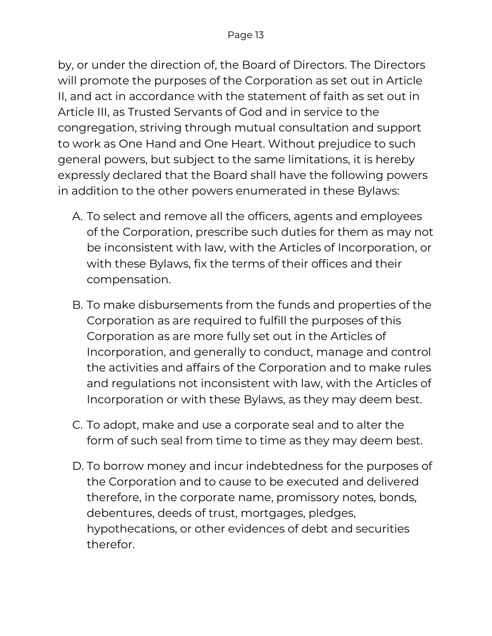by, or under the direction of, the Board of Directors. The Directors will promote the purposes of the Corporation as set out in Article II, and act in accordance with the statement of faith as set out in Article III, as Trusted Servants of God and in service to the congregation, striving through mutual consultation and support to work as One Hand and One Heart. Without prejudice to such general powers, but subject to the same limitations, it is hereby expressly declared that the Board shall have the following powers in addition to the other powers enumerated in these Bylaws:

- A. To select and remove all the officers, agents and employees of the Corporation, prescribe such duties for them as may not be inconsistent with law, with the Articles of Incorporation, or with these Bylaws, fix the terms of their offices and their compensation.
- B. To make disbursements from the funds and properties of the Corporation as are required to fulfill the purposes of this Corporation as are more fully set out in the Articles of Incorporation, and generally to conduct, manage and control the activities and affairs of the Corporation and to make rules and regulations not inconsistent with law, with the Articles of Incorporation or with these Bylaws, as they may deem best.
- C. To adopt, make and use a corporate seal and to alter the form of such seal from time to time as they may deem best.
- D. To borrow money and incur indebtedness for the purposes of the Corporation and to cause to be executed and delivered therefore, in the corporate name, promissory notes, bonds, debentures, deeds of trust, mortgages, pledges, hypothecations, or other evidences of debt and securities therefor.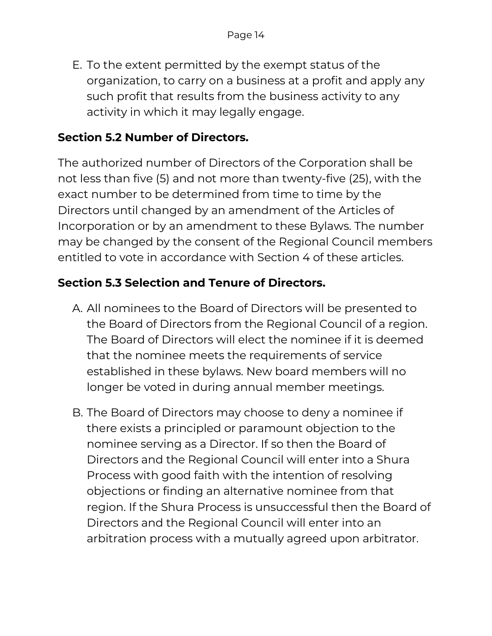E. To the extent permitted by the exempt status of the organization, to carry on a business at a profit and apply any such profit that results from the business activity to any activity in which it may legally engage.

#### **Section 5.2 Number of Directors.**

The authorized number of Directors of the Corporation shall be not less than five (5) and not more than twenty-five (25), with the exact number to be determined from time to time by the Directors until changed by an amendment of the Articles of Incorporation or by an amendment to these Bylaws. The number may be changed by the consent of the Regional Council members entitled to vote in accordance with Section 4 of these articles.

#### **Section 5.3 Selection and Tenure of Directors.**

- A. All nominees to the Board of Directors will be presented to the Board of Directors from the Regional Council of a region. The Board of Directors will elect the nominee if it is deemed that the nominee meets the requirements of service established in these bylaws. New board members will no longer be voted in during annual member meetings.
- B. The Board of Directors may choose to deny a nominee if there exists a principled or paramount objection to the nominee serving as a Director. If so then the Board of Directors and the Regional Council will enter into a Shura Process with good faith with the intention of resolving objections or finding an alternative nominee from that region. If the Shura Process is unsuccessful then the Board of Directors and the Regional Council will enter into an arbitration process with a mutually agreed upon arbitrator.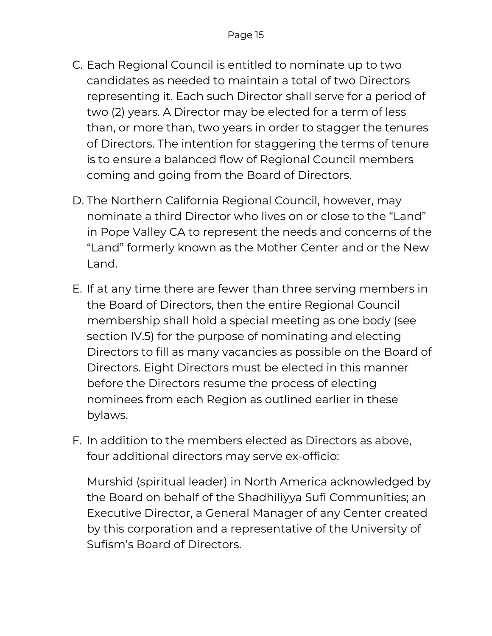- C. Each Regional Council is entitled to nominate up to two candidates as needed to maintain a total of two Directors representing it. Each such Director shall serve for a period of two (2) years. A Director may be elected for a term of less than, or more than, two years in order to stagger the tenures of Directors. The intention for staggering the terms of tenure is to ensure a balanced flow of Regional Council members coming and going from the Board of Directors.
- D. The Northern California Regional Council, however, may nominate a third Director who lives on or close to the "Land" in Pope Valley CA to represent the needs and concerns of the "Land" formerly known as the Mother Center and or the New Land.
- E. If at any time there are fewer than three serving members in the Board of Directors, then the entire Regional Council membership shall hold a special meeting as one body (see section IV.5) for the purpose of nominating and electing Directors to fill as many vacancies as possible on the Board of Directors. Eight Directors must be elected in this manner before the Directors resume the process of electing nominees from each Region as outlined earlier in these bylaws.
- F. In addition to the members elected as Directors as above, four additional directors may serve ex-officio:

Murshid (spiritual leader) in North America acknowledged by the Board on behalf of the Shadhiliyya Sufi Communities; an Executive Director, a General Manager of any Center created by this corporation and a representative of the University of Sufism's Board of Directors.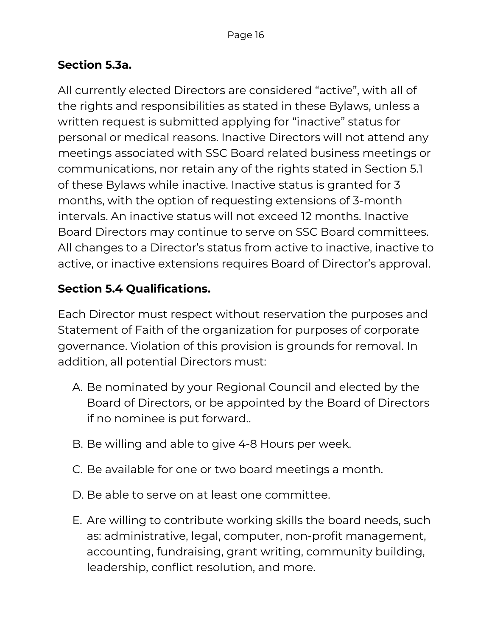#### **Section 5.3a.**

All currently elected Directors are considered "active", with all of the rights and responsibilities as stated in these Bylaws, unless a written request is submitted applying for "inactive" status for personal or medical reasons. Inactive Directors will not attend any meetings associated with SSC Board related business meetings or communications, nor retain any of the rights stated in Section 5.1 of these Bylaws while inactive. Inactive status is granted for 3 months, with the option of requesting extensions of 3-month intervals. An inactive status will not exceed 12 months. Inactive Board Directors may continue to serve on SSC Board committees. All changes to a Director's status from active to inactive, inactive to active, or inactive extensions requires Board of Director's approval.

### **Section 5.4 Qualifications.**

Each Director must respect without reservation the purposes and Statement of Faith of the organization for purposes of corporate governance. Violation of this provision is grounds for removal. In addition, all potential Directors must:

- A. Be nominated by your Regional Council and elected by the Board of Directors, or be appointed by the Board of Directors if no nominee is put forward..
- B. Be willing and able to give 4-8 Hours per week.
- C. Be available for one or two board meetings a month.
- D. Be able to serve on at least one committee.
- E. Are willing to contribute working skills the board needs, such as: administrative, legal, computer, non-profit management, accounting, fundraising, grant writing, community building, leadership, conflict resolution, and more.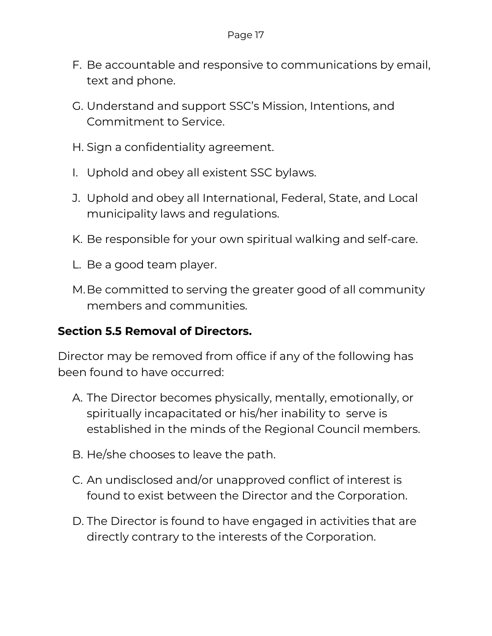- F. Be accountable and responsive to communications by email, text and phone.
- G. Understand and support SSC's Mission, Intentions, and Commitment to Service.
- H. Sign a confidentiality agreement.
- I. Uphold and obey all existent SSC bylaws.
- J. Uphold and obey all International, Federal, State, and Local municipality laws and regulations.
- K. Be responsible for your own spiritual walking and self-care.
- L. Be a good team player.
- M.Be committed to serving the greater good of all community members and communities.

#### **Section 5.5 Removal of Directors.**

Director may be removed from office if any of the following has been found to have occurred:

- A. The Director becomes physically, mentally, emotionally, or spiritually incapacitated or his/her inability to serve is established in the minds of the Regional Council members.
- B. He/she chooses to leave the path.
- C. An undisclosed and/or unapproved conflict of interest is found to exist between the Director and the Corporation.
- D. The Director is found to have engaged in activities that are directly contrary to the interests of the Corporation.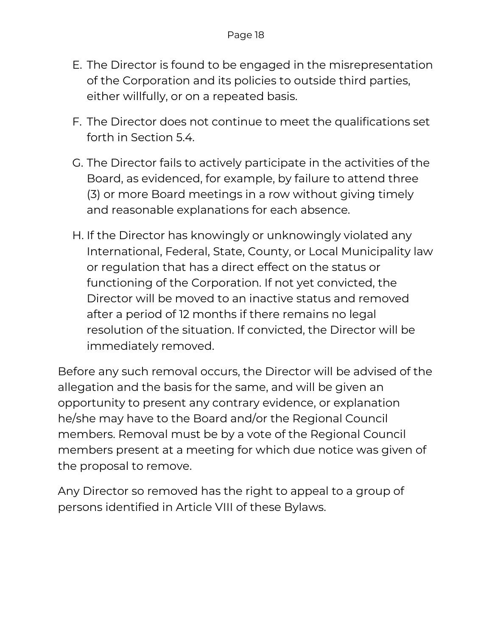- E. The Director is found to be engaged in the misrepresentation of the Corporation and its policies to outside third parties, either willfully, or on a repeated basis.
- F. The Director does not continue to meet the qualifications set forth in Section 5.4.
- G. The Director fails to actively participate in the activities of the Board, as evidenced, for example, by failure to attend three (3) or more Board meetings in a row without giving timely and reasonable explanations for each absence.
- H. If the Director has knowingly or unknowingly violated any International, Federal, State, County, or Local Municipality law or regulation that has a direct effect on the status or functioning of the Corporation. If not yet convicted, the Director will be moved to an inactive status and removed after a period of 12 months if there remains no legal resolution of the situation. If convicted, the Director will be immediately removed.

Before any such removal occurs, the Director will be advised of the allegation and the basis for the same, and will be given an opportunity to present any contrary evidence, or explanation he/she may have to the Board and/or the Regional Council members. Removal must be by a vote of the Regional Council members present at a meeting for which due notice was given of the proposal to remove.

Any Director so removed has the right to appeal to a group of persons identified in Article VIII of these Bylaws.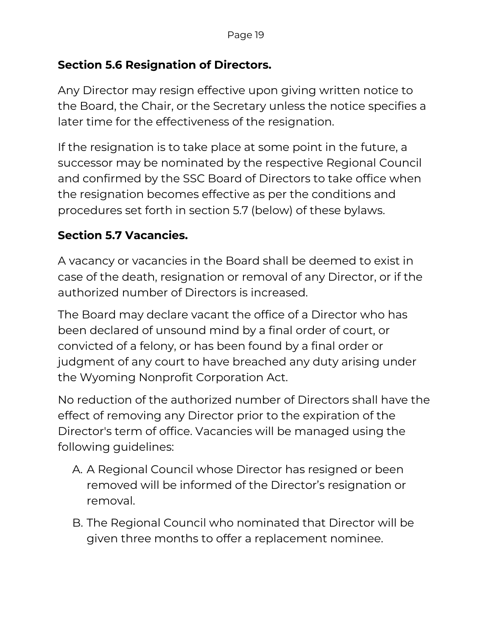#### **Section 5.6 Resignation of Directors.**

Any Director may resign effective upon giving written notice to the Board, the Chair, or the Secretary unless the notice specifies a later time for the effectiveness of the resignation.

If the resignation is to take place at some point in the future, a successor may be nominated by the respective Regional Council and confirmed by the SSC Board of Directors to take office when the resignation becomes effective as per the conditions and procedures set forth in section 5.7 (below) of these bylaws.

### **Section 5.7 Vacancies.**

A vacancy or vacancies in the Board shall be deemed to exist in case of the death, resignation or removal of any Director, or if the authorized number of Directors is increased.

The Board may declare vacant the office of a Director who has been declared of unsound mind by a final order of court, or convicted of a felony, or has been found by a final order or judgment of any court to have breached any duty arising under the Wyoming Nonprofit Corporation Act.

No reduction of the authorized number of Directors shall have the effect of removing any Director prior to the expiration of the Director's term of office. Vacancies will be managed using the following guidelines:

- A. A Regional Council whose Director has resigned or been removed will be informed of the Director's resignation or removal.
- B. The Regional Council who nominated that Director will be given three months to offer a replacement nominee.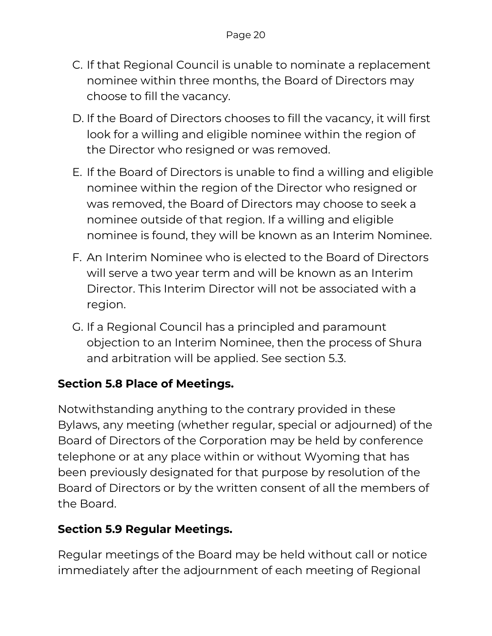- C. If that Regional Council is unable to nominate a replacement nominee within three months, the Board of Directors may choose to fill the vacancy.
- D. If the Board of Directors chooses to fill the vacancy, it will first look for a willing and eligible nominee within the region of the Director who resigned or was removed.
- E. If the Board of Directors is unable to find a willing and eligible nominee within the region of the Director who resigned or was removed, the Board of Directors may choose to seek a nominee outside of that region. If a willing and eligible nominee is found, they will be known as an Interim Nominee.
- F. An Interim Nominee who is elected to the Board of Directors will serve a two year term and will be known as an Interim Director. This Interim Director will not be associated with a region.
- G. If a Regional Council has a principled and paramount objection to an Interim Nominee, then the process of Shura and arbitration will be applied. See section 5.3.

#### **Section 5.8 Place of Meetings.**

Notwithstanding anything to the contrary provided in these Bylaws, any meeting (whether regular, special or adjourned) of the Board of Directors of the Corporation may be held by conference telephone or at any place within or without Wyoming that has been previously designated for that purpose by resolution of the Board of Directors or by the written consent of all the members of the Board.

#### **Section 5.9 Regular Meetings.**

Regular meetings of the Board may be held without call or notice immediately after the adjournment of each meeting of Regional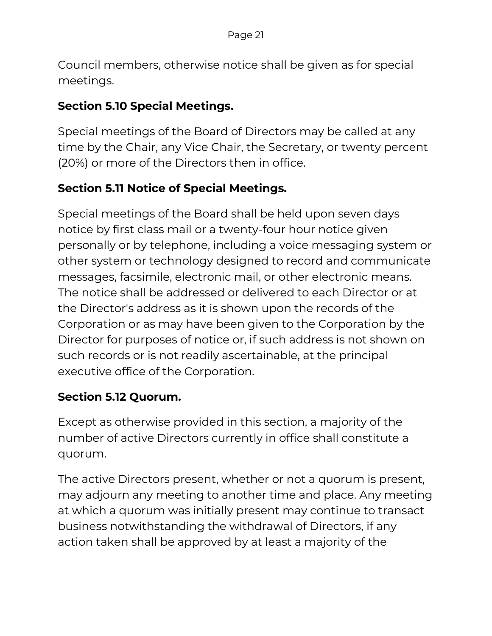Council members, otherwise notice shall be given as for special meetings.

#### **Section 5.10 Special Meetings.**

Special meetings of the Board of Directors may be called at any time by the Chair, any Vice Chair, the Secretary, or twenty percent (20%) or more of the Directors then in office.

### **Section 5.11 Notice of Special Meetings.**

Special meetings of the Board shall be held upon seven days notice by first class mail or a twenty-four hour notice given personally or by telephone, including a voice messaging system or other system or technology designed to record and communicate messages, facsimile, electronic mail, or other electronic means. The notice shall be addressed or delivered to each Director or at the Director's address as it is shown upon the records of the Corporation or as may have been given to the Corporation by the Director for purposes of notice or, if such address is not shown on such records or is not readily ascertainable, at the principal executive office of the Corporation.

#### **Section 5.12 Quorum.**

Except as otherwise provided in this section, a majority of the number of active Directors currently in office shall constitute a quorum.

The active Directors present, whether or not a quorum is present, may adjourn any meeting to another time and place. Any meeting at which a quorum was initially present may continue to transact business notwithstanding the withdrawal of Directors, if any action taken shall be approved by at least a majority of the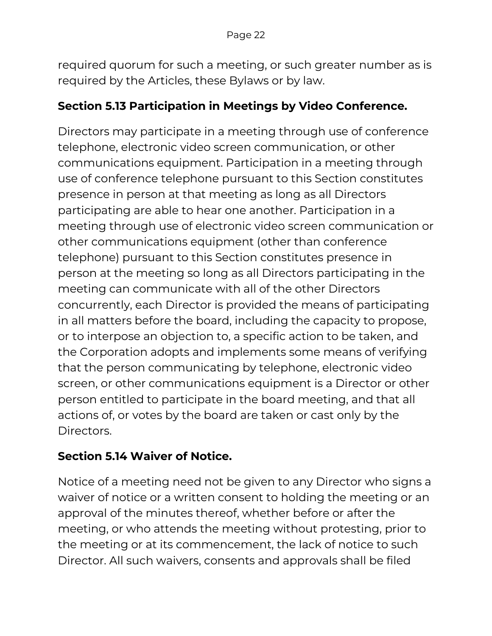required quorum for such a meeting, or such greater number as is required by the Articles, these Bylaws or by law.

#### **Section 5.13 Participation in Meetings by Video Conference.**

Directors may participate in a meeting through use of conference telephone, electronic video screen communication, or other communications equipment. Participation in a meeting through use of conference telephone pursuant to this Section constitutes presence in person at that meeting as long as all Directors participating are able to hear one another. Participation in a meeting through use of electronic video screen communication or other communications equipment (other than conference telephone) pursuant to this Section constitutes presence in person at the meeting so long as all Directors participating in the meeting can communicate with all of the other Directors concurrently, each Director is provided the means of participating in all matters before the board, including the capacity to propose, or to interpose an objection to, a specific action to be taken, and the Corporation adopts and implements some means of verifying that the person communicating by telephone, electronic video screen, or other communications equipment is a Director or other person entitled to participate in the board meeting, and that all actions of, or votes by the board are taken or cast only by the Directors.

#### **Section 5.14 Waiver of Notice.**

Notice of a meeting need not be given to any Director who signs a waiver of notice or a written consent to holding the meeting or an approval of the minutes thereof, whether before or after the meeting, or who attends the meeting without protesting, prior to the meeting or at its commencement, the lack of notice to such Director. All such waivers, consents and approvals shall be filed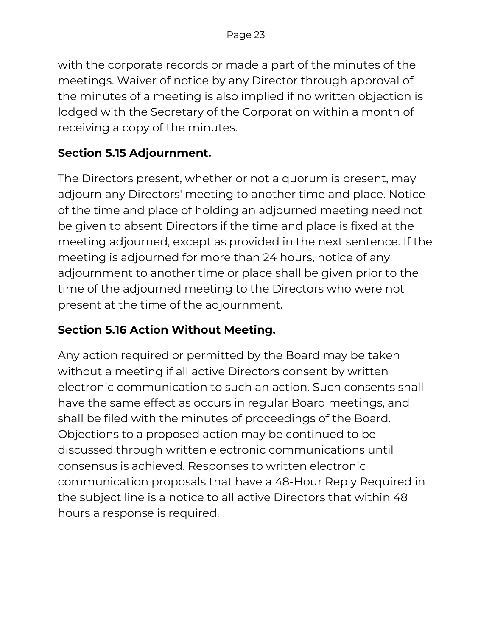with the corporate records or made a part of the minutes of the meetings. Waiver of notice by any Director through approval of the minutes of a meeting is also implied if no written objection is lodged with the Secretary of the Corporation within a month of receiving a copy of the minutes.

#### **Section 5.15 Adjournment.**

The Directors present, whether or not a quorum is present, may adjourn any Directors' meeting to another time and place. Notice of the time and place of holding an adjourned meeting need not be given to absent Directors if the time and place is fixed at the meeting adjourned, except as provided in the next sentence. If the meeting is adjourned for more than 24 hours, notice of any adjournment to another time or place shall be given prior to the time of the adjourned meeting to the Directors who were not present at the time of the adjournment.

#### **Section 5.16 Action Without Meeting.**

Any action required or permitted by the Board may be taken without a meeting if all active Directors consent by written electronic communication to such an action. Such consents shall have the same effect as occurs in regular Board meetings, and shall be filed with the minutes of proceedings of the Board. Objections to a proposed action may be continued to be discussed through written electronic communications until consensus is achieved. Responses to written electronic communication proposals that have a 48-Hour Reply Required in the subject line is a notice to all active Directors that within 48 hours a response is required.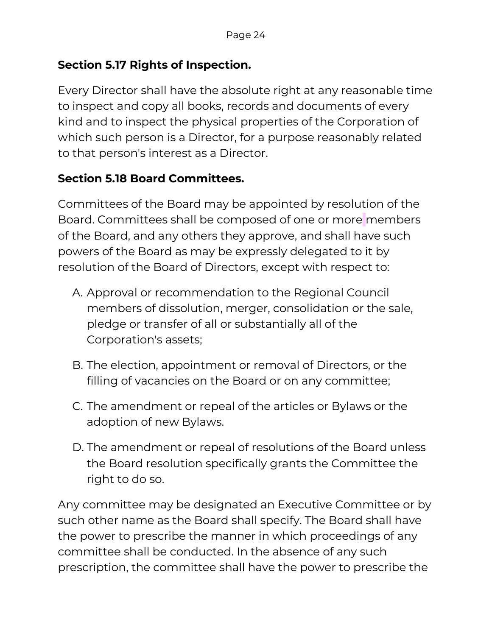#### **Section 5.17 Rights of Inspection.**

Every Director shall have the absolute right at any reasonable time to inspect and copy all books, records and documents of every kind and to inspect the physical properties of the Corporation of which such person is a Director, for a purpose reasonably related to that person's interest as a Director.

#### **Section 5.18 Board Committees.**

Committees of the Board may be appointed by resolution of the Board. Committees shall be composed of one or more members of the Board, and any others they approve, and shall have such powers of the Board as may be expressly delegated to it by resolution of the Board of Directors, except with respect to:

- A. Approval or recommendation to the Regional Council members of dissolution, merger, consolidation or the sale, pledge or transfer of all or substantially all of the Corporation's assets;
- B. The election, appointment or removal of Directors, or the filling of vacancies on the Board or on any committee;
- C. The amendment or repeal of the articles or Bylaws or the adoption of new Bylaws.
- D. The amendment or repeal of resolutions of the Board unless the Board resolution specifically grants the Committee the right to do so.

Any committee may be designated an Executive Committee or by such other name as the Board shall specify. The Board shall have the power to prescribe the manner in which proceedings of any committee shall be conducted. In the absence of any such prescription, the committee shall have the power to prescribe the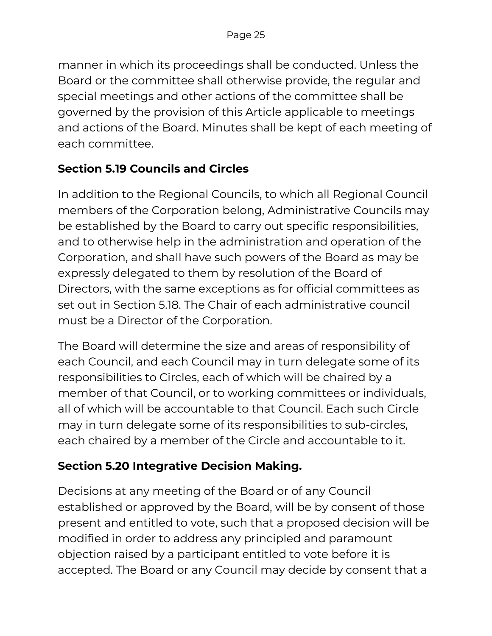manner in which its proceedings shall be conducted. Unless the Board or the committee shall otherwise provide, the regular and special meetings and other actions of the committee shall be governed by the provision of this Article applicable to meetings and actions of the Board. Minutes shall be kept of each meeting of each committee.

#### **Section 5.19 Councils and Circles**

In addition to the Regional Councils, to which all Regional Council members of the Corporation belong, Administrative Councils may be established by the Board to carry out specific responsibilities, and to otherwise help in the administration and operation of the Corporation, and shall have such powers of the Board as may be expressly delegated to them by resolution of the Board of Directors, with the same exceptions as for official committees as set out in Section 5.18. The Chair of each administrative council must be a Director of the Corporation.

The Board will determine the size and areas of responsibility of each Council, and each Council may in turn delegate some of its responsibilities to Circles, each of which will be chaired by a member of that Council, or to working committees or individuals, all of which will be accountable to that Council. Each such Circle may in turn delegate some of its responsibilities to sub-circles, each chaired by a member of the Circle and accountable to it.

## **Section 5.20 Integrative Decision Making.**

Decisions at any meeting of the Board or of any Council established or approved by the Board, will be by consent of those present and entitled to vote, such that a proposed decision will be modified in order to address any principled and paramount objection raised by a participant entitled to vote before it is accepted. The Board or any Council may decide by consent that a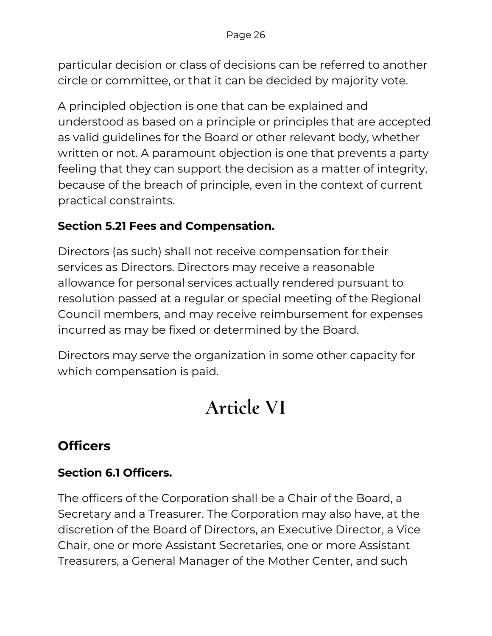particular decision or class of decisions can be referred to another circle or committee, or that it can be decided by majority vote.

A principled objection is one that can be explained and understood as based on a principle or principles that are accepted as valid guidelines for the Board or other relevant body, whether written or not. A paramount objection is one that prevents a party feeling that they can support the decision as a matter of integrity, because of the breach of principle, even in the context of current practical constraints.

#### **Section 5.21 Fees and Compensation.**

Directors (as such) shall not receive compensation for their services as Directors. Directors may receive a reasonable allowance for personal services actually rendered pursuant to resolution passed at a regular or special meeting of the Regional Council members, and may receive reimbursement for expenses incurred as may be fixed or determined by the Board.

Directors may serve the organization in some other capacity for which compensation is paid.

## **Article VI**

## **Officers**

#### **Section 6.1 Officers.**

The officers of the Corporation shall be a Chair of the Board, a Secretary and a Treasurer. The Corporation may also have, at the discretion of the Board of Directors, an Executive Director, a Vice Chair, one or more Assistant Secretaries, one or more Assistant Treasurers, a General Manager of the Mother Center, and such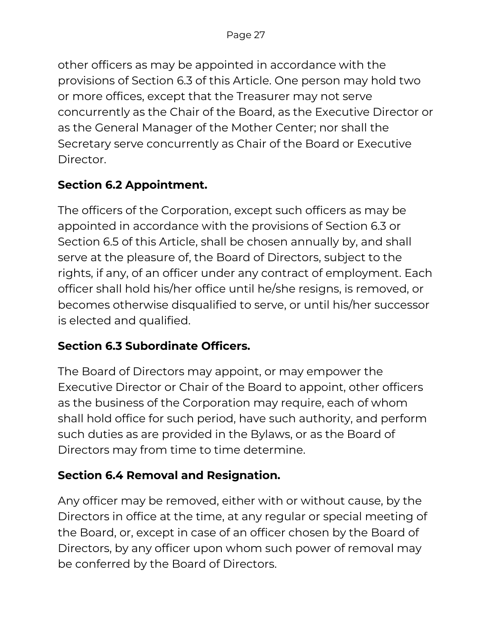other officers as may be appointed in accordance with the provisions of Section 6.3 of this Article. One person may hold two or more offices, except that the Treasurer may not serve concurrently as the Chair of the Board, as the Executive Director or as the General Manager of the Mother Center; nor shall the Secretary serve concurrently as Chair of the Board or Executive Director.

## **Section 6.2 Appointment.**

The officers of the Corporation, except such officers as may be appointed in accordance with the provisions of Section 6.3 or Section 6.5 of this Article, shall be chosen annually by, and shall serve at the pleasure of, the Board of Directors, subject to the rights, if any, of an officer under any contract of employment. Each officer shall hold his/her office until he/she resigns, is removed, or becomes otherwise disqualified to serve, or until his/her successor is elected and qualified.

#### **Section 6.3 Subordinate Officers.**

The Board of Directors may appoint, or may empower the Executive Director or Chair of the Board to appoint, other officers as the business of the Corporation may require, each of whom shall hold office for such period, have such authority, and perform such duties as are provided in the Bylaws, or as the Board of Directors may from time to time determine.

## **Section 6.4 Removal and Resignation.**

Any officer may be removed, either with or without cause, by the Directors in office at the time, at any regular or special meeting of the Board, or, except in case of an officer chosen by the Board of Directors, by any officer upon whom such power of removal may be conferred by the Board of Directors.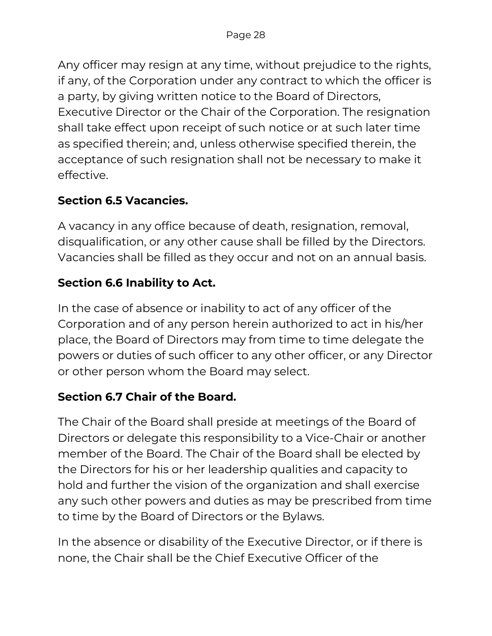Any officer may resign at any time, without prejudice to the rights, if any, of the Corporation under any contract to which the officer is a party, by giving written notice to the Board of Directors, Executive Director or the Chair of the Corporation. The resignation shall take effect upon receipt of such notice or at such later time as specified therein; and, unless otherwise specified therein, the acceptance of such resignation shall not be necessary to make it effective.

#### **Section 6.5 Vacancies.**

A vacancy in any office because of death, resignation, removal, disqualification, or any other cause shall be filled by the Directors. Vacancies shall be filled as they occur and not on an annual basis.

#### **Section 6.6 Inability to Act.**

In the case of absence or inability to act of any officer of the Corporation and of any person herein authorized to act in his/her place, the Board of Directors may from time to time delegate the powers or duties of such officer to any other officer, or any Director or other person whom the Board may select.

#### **Section 6.7 Chair of the Board.**

The Chair of the Board shall preside at meetings of the Board of Directors or delegate this responsibility to a Vice-Chair or another member of the Board. The Chair of the Board shall be elected by the Directors for his or her leadership qualities and capacity to hold and further the vision of the organization and shall exercise any such other powers and duties as may be prescribed from time to time by the Board of Directors or the Bylaws.

In the absence or disability of the Executive Director, or if there is none, the Chair shall be the Chief Executive Officer of the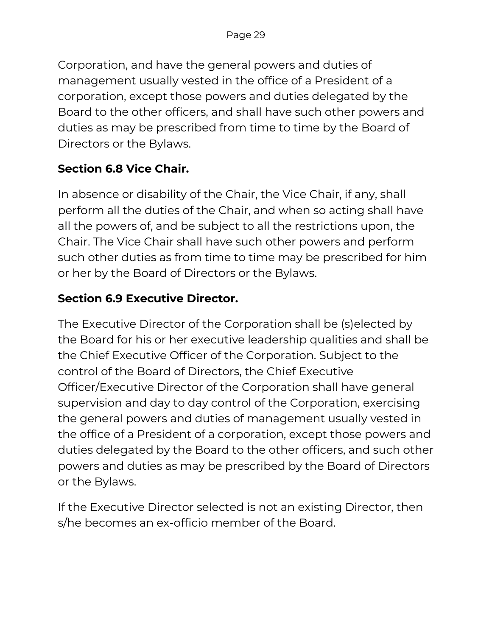Corporation, and have the general powers and duties of management usually vested in the office of a President of a corporation, except those powers and duties delegated by the Board to the other officers, and shall have such other powers and duties as may be prescribed from time to time by the Board of Directors or the Bylaws.

### **Section 6.8 Vice Chair.**

In absence or disability of the Chair, the Vice Chair, if any, shall perform all the duties of the Chair, and when so acting shall have all the powers of, and be subject to all the restrictions upon, the Chair. The Vice Chair shall have such other powers and perform such other duties as from time to time may be prescribed for him or her by the Board of Directors or the Bylaws.

### **Section 6.9 Executive Director.**

The Executive Director of the Corporation shall be (s)elected by the Board for his or her executive leadership qualities and shall be the Chief Executive Officer of the Corporation. Subject to the control of the Board of Directors, the Chief Executive Officer/Executive Director of the Corporation shall have general supervision and day to day control of the Corporation, exercising the general powers and duties of management usually vested in the office of a President of a corporation, except those powers and duties delegated by the Board to the other officers, and such other powers and duties as may be prescribed by the Board of Directors or the Bylaws.

If the Executive Director selected is not an existing Director, then s/he becomes an ex-officio member of the Board.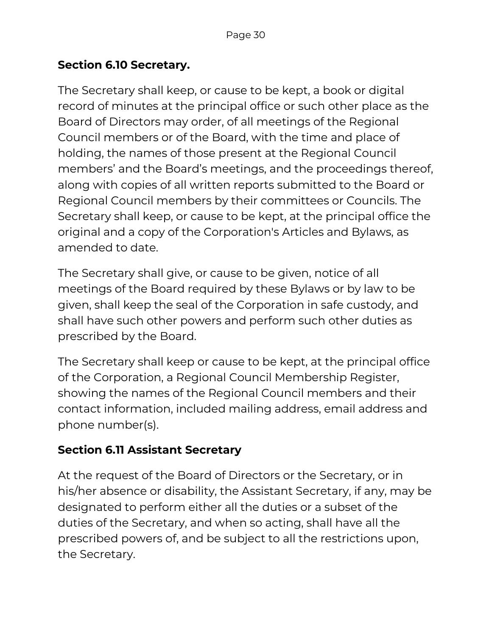#### **Section 6.10 Secretary.**

The Secretary shall keep, or cause to be kept, a book or digital record of minutes at the principal office or such other place as the Board of Directors may order, of all meetings of the Regional Council members or of the Board, with the time and place of holding, the names of those present at the Regional Council members' and the Board's meetings, and the proceedings thereof, along with copies of all written reports submitted to the Board or Regional Council members by their committees or Councils. The Secretary shall keep, or cause to be kept, at the principal office the original and a copy of the Corporation's Articles and Bylaws, as amended to date.

The Secretary shall give, or cause to be given, notice of all meetings of the Board required by these Bylaws or by law to be given, shall keep the seal of the Corporation in safe custody, and shall have such other powers and perform such other duties as prescribed by the Board.

The Secretary shall keep or cause to be kept, at the principal office of the Corporation, a Regional Council Membership Register, showing the names of the Regional Council members and their contact information, included mailing address, email address and phone number(s).

#### **Section 6.11 Assistant Secretary**

At the request of the Board of Directors or the Secretary, or in his/her absence or disability, the Assistant Secretary, if any, may be designated to perform either all the duties or a subset of the duties of the Secretary, and when so acting, shall have all the prescribed powers of, and be subject to all the restrictions upon, the Secretary.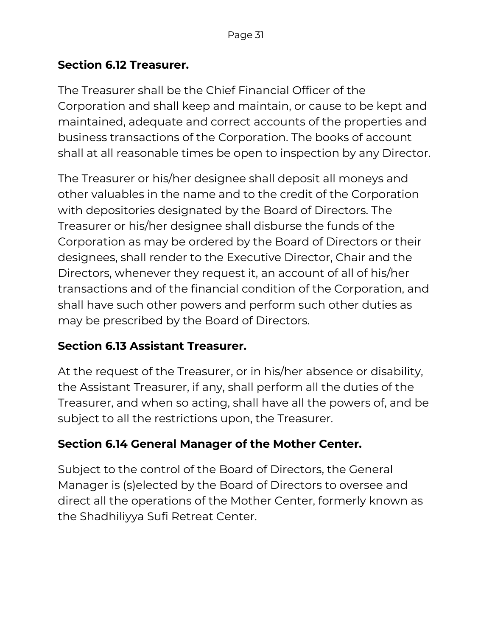#### **Section 6.12 Treasurer.**

The Treasurer shall be the Chief Financial Officer of the Corporation and shall keep and maintain, or cause to be kept and maintained, adequate and correct accounts of the properties and business transactions of the Corporation. The books of account shall at all reasonable times be open to inspection by any Director.

The Treasurer or his/her designee shall deposit all moneys and other valuables in the name and to the credit of the Corporation with depositories designated by the Board of Directors. The Treasurer or his/her designee shall disburse the funds of the Corporation as may be ordered by the Board of Directors or their designees, shall render to the Executive Director, Chair and the Directors, whenever they request it, an account of all of his/her transactions and of the financial condition of the Corporation, and shall have such other powers and perform such other duties as may be prescribed by the Board of Directors.

#### **Section 6.13 Assistant Treasurer.**

At the request of the Treasurer, or in his/her absence or disability, the Assistant Treasurer, if any, shall perform all the duties of the Treasurer, and when so acting, shall have all the powers of, and be subject to all the restrictions upon, the Treasurer.

#### **Section 6.14 General Manager of the Mother Center.**

Subject to the control of the Board of Directors, the General Manager is (s)elected by the Board of Directors to oversee and direct all the operations of the Mother Center, formerly known as the Shadhiliyya Sufi Retreat Center.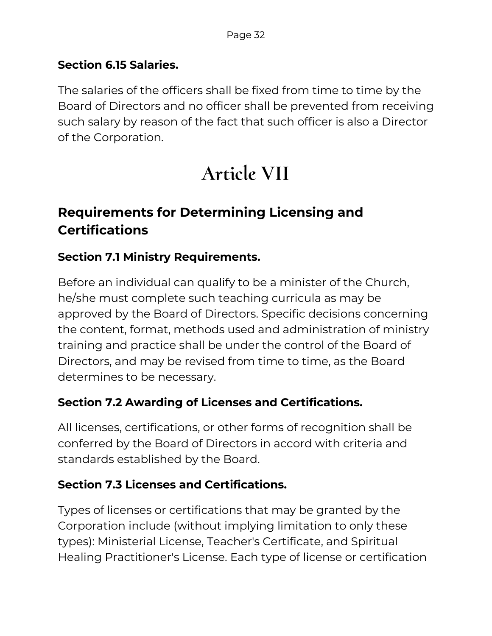#### **Section 6.15 Salaries.**

The salaries of the officers shall be fixed from time to time by the Board of Directors and no officer shall be prevented from receiving such salary by reason of the fact that such officer is also a Director of the Corporation.

## **Article VII**

## **Requirements for Determining Licensing and Certifications**

#### **Section 7.1 Ministry Requirements.**

Before an individual can qualify to be a minister of the Church, he/she must complete such teaching curricula as may be approved by the Board of Directors. Specific decisions concerning the content, format, methods used and administration of ministry training and practice shall be under the control of the Board of Directors, and may be revised from time to time, as the Board determines to be necessary.

#### **Section 7.2 Awarding of Licenses and Certifications.**

All licenses, certifications, or other forms of recognition shall be conferred by the Board of Directors in accord with criteria and standards established by the Board.

#### **Section 7.3 Licenses and Certifications.**

Types of licenses or certifications that may be granted by the Corporation include (without implying limitation to only these types): Ministerial License, Teacher's Certificate, and Spiritual Healing Practitioner's License. Each type of license or certification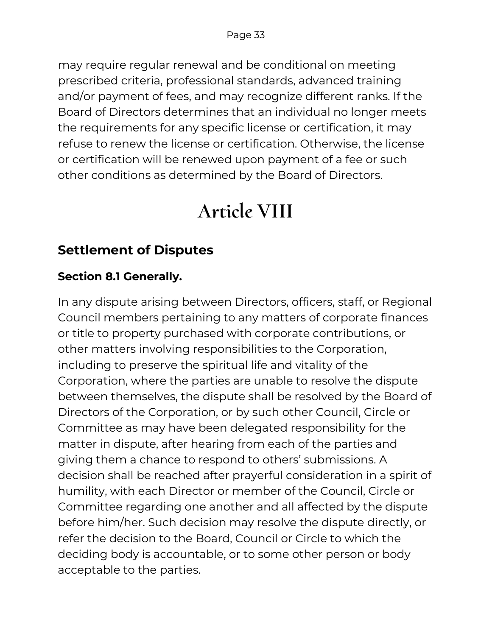may require regular renewal and be conditional on meeting prescribed criteria, professional standards, advanced training and/or payment of fees, and may recognize different ranks. If the Board of Directors determines that an individual no longer meets the requirements for any specific license or certification, it may refuse to renew the license or certification. Otherwise, the license or certification will be renewed upon payment of a fee or such other conditions as determined by the Board of Directors.

## **Article VIII**

## **Settlement of Disputes**

## **Section 8.1 Generally.**

In any dispute arising between Directors, officers, staff, or Regional Council members pertaining to any matters of corporate finances or title to property purchased with corporate contributions, or other matters involving responsibilities to the Corporation, including to preserve the spiritual life and vitality of the Corporation, where the parties are unable to resolve the dispute between themselves, the dispute shall be resolved by the Board of Directors of the Corporation, or by such other Council, Circle or Committee as may have been delegated responsibility for the matter in dispute, after hearing from each of the parties and giving them a chance to respond to others' submissions. A decision shall be reached after prayerful consideration in a spirit of humility, with each Director or member of the Council, Circle or Committee regarding one another and all affected by the dispute before him/her. Such decision may resolve the dispute directly, or refer the decision to the Board, Council or Circle to which the deciding body is accountable, or to some other person or body acceptable to the parties.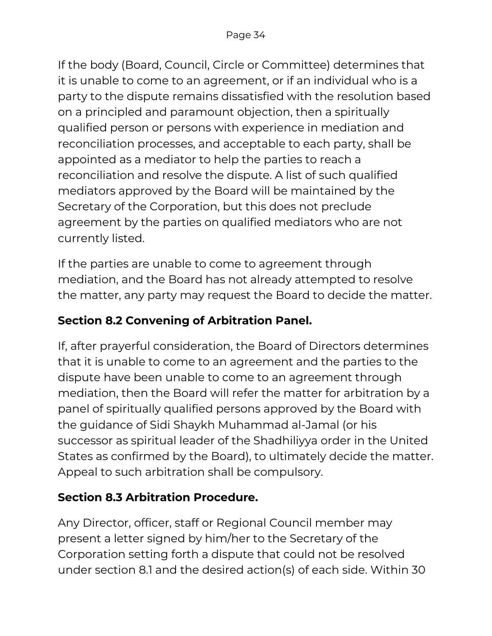If the body (Board, Council, Circle or Committee) determines that it is unable to come to an agreement, or if an individual who is a party to the dispute remains dissatisfied with the resolution based on a principled and paramount objection, then a spiritually qualified person or persons with experience in mediation and reconciliation processes, and acceptable to each party, shall be appointed as a mediator to help the parties to reach a reconciliation and resolve the dispute. A list of such qualified mediators approved by the Board will be maintained by the Secretary of the Corporation, but this does not preclude agreement by the parties on qualified mediators who are not currently listed.

If the parties are unable to come to agreement through mediation, and the Board has not already attempted to resolve the matter, any party may request the Board to decide the matter.

### **Section 8.2 Convening of Arbitration Panel.**

If, after prayerful consideration, the Board of Directors determines that it is unable to come to an agreement and the parties to the dispute have been unable to come to an agreement through mediation, then the Board will refer the matter for arbitration by a panel of spiritually qualified persons approved by the Board with the guidance of Sidi Shaykh Muhammad al-Jamal (or his successor as spiritual leader of the Shadhiliyya order in the United States as confirmed by the Board), to ultimately decide the matter. Appeal to such arbitration shall be compulsory.

#### **Section 8.3 Arbitration Procedure.**

Any Director, officer, staff or Regional Council member may present a letter signed by him/her to the Secretary of the Corporation setting forth a dispute that could not be resolved under section 8.1 and the desired action(s) of each side. Within 30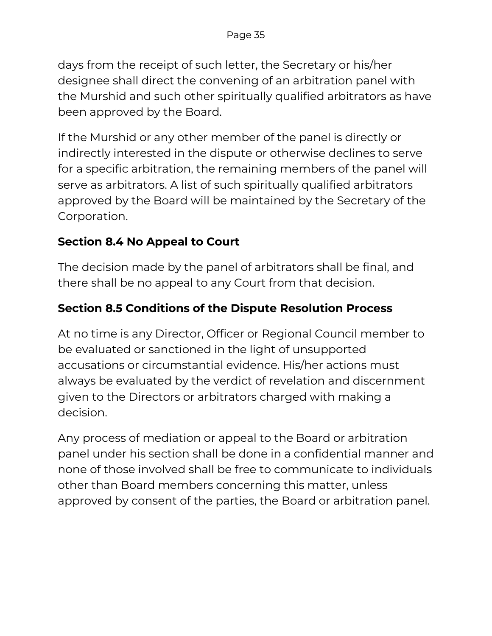days from the receipt of such letter, the Secretary or his/her designee shall direct the convening of an arbitration panel with the Murshid and such other spiritually qualified arbitrators as have been approved by the Board.

If the Murshid or any other member of the panel is directly or indirectly interested in the dispute or otherwise declines to serve for a specific arbitration, the remaining members of the panel will serve as arbitrators. A list of such spiritually qualified arbitrators approved by the Board will be maintained by the Secretary of the Corporation.

#### **Section 8.4 No Appeal to Court**

The decision made by the panel of arbitrators shall be final, and there shall be no appeal to any Court from that decision.

#### **Section 8.5 Conditions of the Dispute Resolution Process**

At no time is any Director, Officer or Regional Council member to be evaluated or sanctioned in the light of unsupported accusations or circumstantial evidence. His/her actions must always be evaluated by the verdict of revelation and discernment given to the Directors or arbitrators charged with making a decision.

Any process of mediation or appeal to the Board or arbitration panel under his section shall be done in a confidential manner and none of those involved shall be free to communicate to individuals other than Board members concerning this matter, unless approved by consent of the parties, the Board or arbitration panel.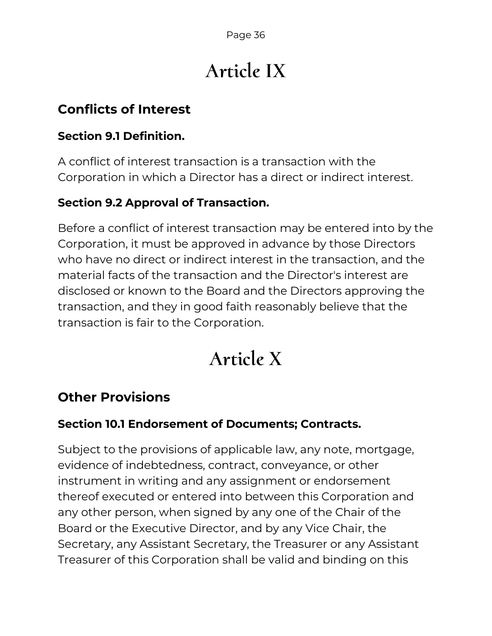# **Article IX**

## **Conflicts of Interest**

#### **Section 9.1 Definition.**

A conflict of interest transaction is a transaction with the Corporation in which a Director has a direct or indirect interest.

#### **Section 9.2 Approval of Transaction.**

Before a conflict of interest transaction may be entered into by the Corporation, it must be approved in advance by those Directors who have no direct or indirect interest in the transaction, and the material facts of the transaction and the Director's interest are disclosed or known to the Board and the Directors approving the transaction, and they in good faith reasonably believe that the transaction is fair to the Corporation.

# **Article X**

## **Other Provisions**

#### **Section 10.1 Endorsement of Documents; Contracts.**

Subject to the provisions of applicable law, any note, mortgage, evidence of indebtedness, contract, conveyance, or other instrument in writing and any assignment or endorsement thereof executed or entered into between this Corporation and any other person, when signed by any one of the Chair of the Board or the Executive Director, and by any Vice Chair, the Secretary, any Assistant Secretary, the Treasurer or any Assistant Treasurer of this Corporation shall be valid and binding on this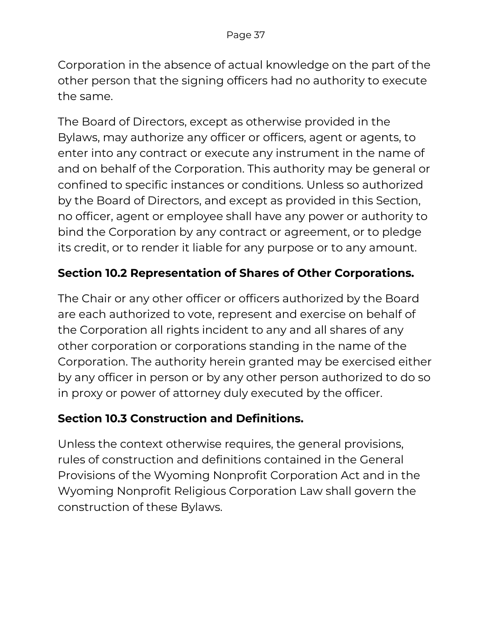Corporation in the absence of actual knowledge on the part of the other person that the signing officers had no authority to execute the same.

The Board of Directors, except as otherwise provided in the Bylaws, may authorize any officer or officers, agent or agents, to enter into any contract or execute any instrument in the name of and on behalf of the Corporation. This authority may be general or confined to specific instances or conditions. Unless so authorized by the Board of Directors, and except as provided in this Section, no officer, agent or employee shall have any power or authority to bind the Corporation by any contract or agreement, or to pledge its credit, or to render it liable for any purpose or to any amount.

#### **Section 10.2 Representation of Shares of Other Corporations.**

The Chair or any other officer or officers authorized by the Board are each authorized to vote, represent and exercise on behalf of the Corporation all rights incident to any and all shares of any other corporation or corporations standing in the name of the Corporation. The authority herein granted may be exercised either by any officer in person or by any other person authorized to do so in proxy or power of attorney duly executed by the officer.

#### **Section 10.3 Construction and Definitions.**

Unless the context otherwise requires, the general provisions, rules of construction and definitions contained in the General Provisions of the Wyoming Nonprofit Corporation Act and in the Wyoming Nonprofit Religious Corporation Law shall govern the construction of these Bylaws.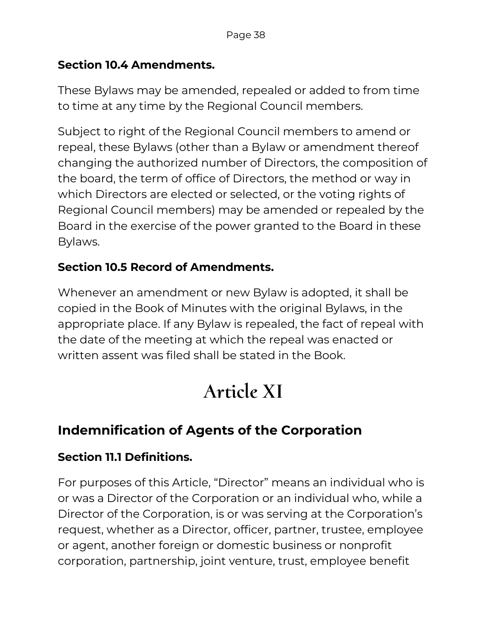#### **Section 10.4 Amendments.**

These Bylaws may be amended, repealed or added to from time to time at any time by the Regional Council members.

Subject to right of the Regional Council members to amend or repeal, these Bylaws (other than a Bylaw or amendment thereof changing the authorized number of Directors, the composition of the board, the term of office of Directors, the method or way in which Directors are elected or selected, or the voting rights of Regional Council members) may be amended or repealed by the Board in the exercise of the power granted to the Board in these Bylaws.

#### **Section 10.5 Record of Amendments.**

Whenever an amendment or new Bylaw is adopted, it shall be copied in the Book of Minutes with the original Bylaws, in the appropriate place. If any Bylaw is repealed, the fact of repeal with the date of the meeting at which the repeal was enacted or written assent was filed shall be stated in the Book.

# **Article XI**

## **Indemnification of Agents of the Corporation**

#### **Section 11.1 Definitions.**

For purposes of this Article, "Director" means an individual who is or was a Director of the Corporation or an individual who, while a Director of the Corporation, is or was serving at the Corporation's request, whether as a Director, officer, partner, trustee, employee or agent, another foreign or domestic business or nonprofit corporation, partnership, joint venture, trust, employee benefit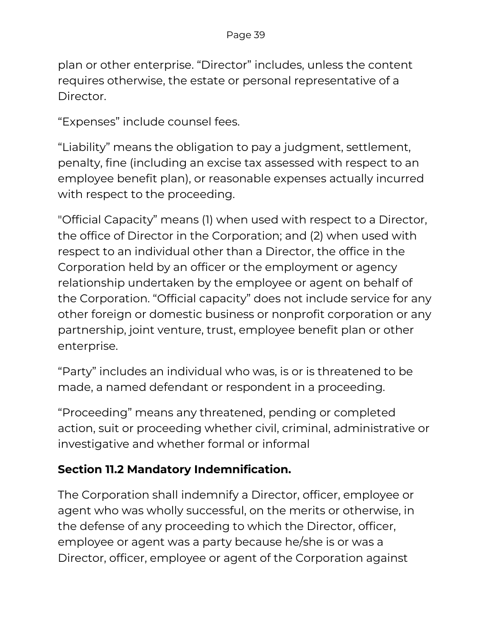plan or other enterprise. "Director" includes, unless the content requires otherwise, the estate or personal representative of a Director.

"Expenses" include counsel fees.

"Liability" means the obligation to pay a judgment, settlement, penalty, fine (including an excise tax assessed with respect to an employee benefit plan), or reasonable expenses actually incurred with respect to the proceeding.

"Official Capacity" means (1) when used with respect to a Director, the office of Director in the Corporation; and (2) when used with respect to an individual other than a Director, the office in the Corporation held by an officer or the employment or agency relationship undertaken by the employee or agent on behalf of the Corporation. "Official capacity" does not include service for any other foreign or domestic business or nonprofit corporation or any partnership, joint venture, trust, employee benefit plan or other enterprise.

"Party" includes an individual who was, is or is threatened to be made, a named defendant or respondent in a proceeding.

"Proceeding" means any threatened, pending or completed action, suit or proceeding whether civil, criminal, administrative or investigative and whether formal or informal

#### **Section 11.2 Mandatory Indemnification.**

The Corporation shall indemnify a Director, officer, employee or agent who was wholly successful, on the merits or otherwise, in the defense of any proceeding to which the Director, officer, employee or agent was a party because he/she is or was a Director, officer, employee or agent of the Corporation against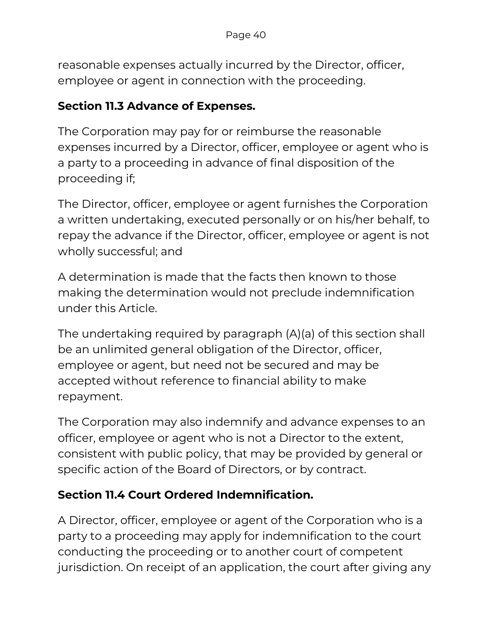reasonable expenses actually incurred by the Director, officer, employee or agent in connection with the proceeding.

#### **Section 11.3 Advance of Expenses.**

The Corporation may pay for or reimburse the reasonable expenses incurred by a Director, officer, employee or agent who is a party to a proceeding in advance of final disposition of the proceeding if;

The Director, officer, employee or agent furnishes the Corporation a written undertaking, executed personally or on his/her behalf, to repay the advance if the Director, officer, employee or agent is not wholly successful; and

A determination is made that the facts then known to those making the determination would not preclude indemnification under this Article.

The undertaking required by paragraph (A)(a) of this section shall be an unlimited general obligation of the Director, officer, employee or agent, but need not be secured and may be accepted without reference to financial ability to make repayment.

The Corporation may also indemnify and advance expenses to an officer, employee or agent who is not a Director to the extent, consistent with public policy, that may be provided by general or specific action of the Board of Directors, or by contract.

#### **Section 11.4 Court Ordered Indemnification.**

A Director, officer, employee or agent of the Corporation who is a party to a proceeding may apply for indemnification to the court conducting the proceeding or to another court of competent jurisdiction. On receipt of an application, the court after giving any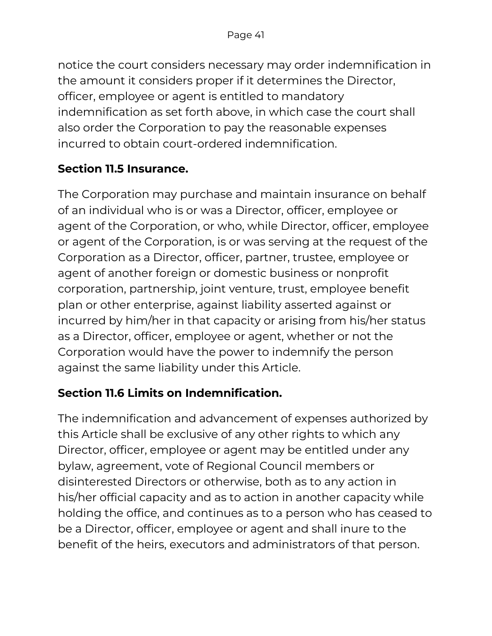notice the court considers necessary may order indemnification in the amount it considers proper if it determines the Director, officer, employee or agent is entitled to mandatory indemnification as set forth above, in which case the court shall also order the Corporation to pay the reasonable expenses incurred to obtain court-ordered indemnification.

### **Section 11.5 Insurance.**

The Corporation may purchase and maintain insurance on behalf of an individual who is or was a Director, officer, employee or agent of the Corporation, or who, while Director, officer, employee or agent of the Corporation, is or was serving at the request of the Corporation as a Director, officer, partner, trustee, employee or agent of another foreign or domestic business or nonprofit corporation, partnership, joint venture, trust, employee benefit plan or other enterprise, against liability asserted against or incurred by him/her in that capacity or arising from his/her status as a Director, officer, employee or agent, whether or not the Corporation would have the power to indemnify the person against the same liability under this Article.

## **Section 11.6 Limits on Indemnification.**

The indemnification and advancement of expenses authorized by this Article shall be exclusive of any other rights to which any Director, officer, employee or agent may be entitled under any bylaw, agreement, vote of Regional Council members or disinterested Directors or otherwise, both as to any action in his/her official capacity and as to action in another capacity while holding the office, and continues as to a person who has ceased to be a Director, officer, employee or agent and shall inure to the benefit of the heirs, executors and administrators of that person.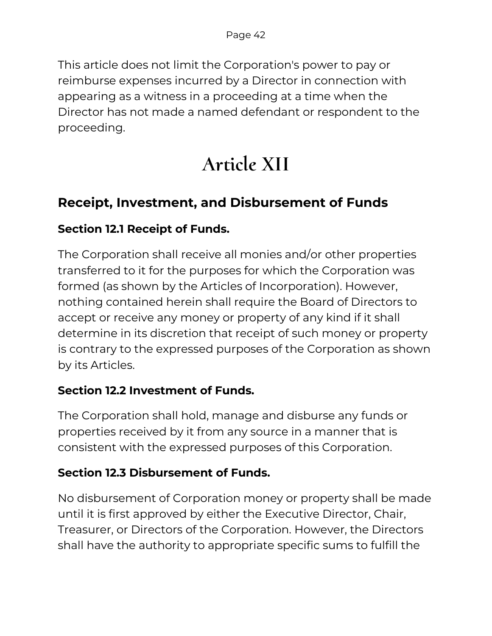This article does not limit the Corporation's power to pay or reimburse expenses incurred by a Director in connection with appearing as a witness in a proceeding at a time when the Director has not made a named defendant or respondent to the proceeding.

# **Article XII**

## **Receipt, Investment, and Disbursement of Funds**

#### **Section 12.1 Receipt of Funds.**

The Corporation shall receive all monies and/or other properties transferred to it for the purposes for which the Corporation was formed (as shown by the Articles of Incorporation). However, nothing contained herein shall require the Board of Directors to accept or receive any money or property of any kind if it shall determine in its discretion that receipt of such money or property is contrary to the expressed purposes of the Corporation as shown by its Articles.

#### **Section 12.2 Investment of Funds.**

The Corporation shall hold, manage and disburse any funds or properties received by it from any source in a manner that is consistent with the expressed purposes of this Corporation.

#### **Section 12.3 Disbursement of Funds.**

No disbursement of Corporation money or property shall be made until it is first approved by either the Executive Director, Chair, Treasurer, or Directors of the Corporation. However, the Directors shall have the authority to appropriate specific sums to fulfill the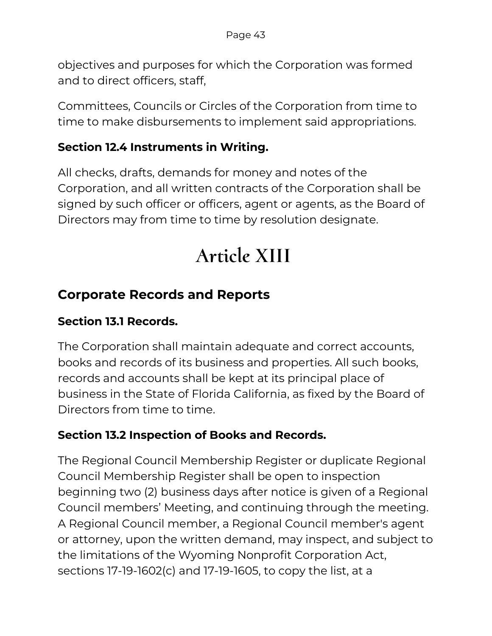objectives and purposes for which the Corporation was formed and to direct officers, staff,

Committees, Councils or Circles of the Corporation from time to time to make disbursements to implement said appropriations.

#### **Section 12.4 Instruments in Writing.**

All checks, drafts, demands for money and notes of the Corporation, and all written contracts of the Corporation shall be signed by such officer or officers, agent or agents, as the Board of Directors may from time to time by resolution designate.

# **Article XIII**

## **Corporate Records and Reports**

#### **Section 13.1 Records.**

The Corporation shall maintain adequate and correct accounts, books and records of its business and properties. All such books, records and accounts shall be kept at its principal place of business in the State of Florida California, as fixed by the Board of Directors from time to time.

#### **Section 13.2 Inspection of Books and Records.**

The Regional Council Membership Register or duplicate Regional Council Membership Register shall be open to inspection beginning two (2) business days after notice is given of a Regional Council members' Meeting, and continuing through the meeting. A Regional Council member, a Regional Council member's agent or attorney, upon the written demand, may inspect, and subject to the limitations of the Wyoming Nonprofit Corporation Act, sections 17-19-1602(c) and 17-19-1605, to copy the list, at a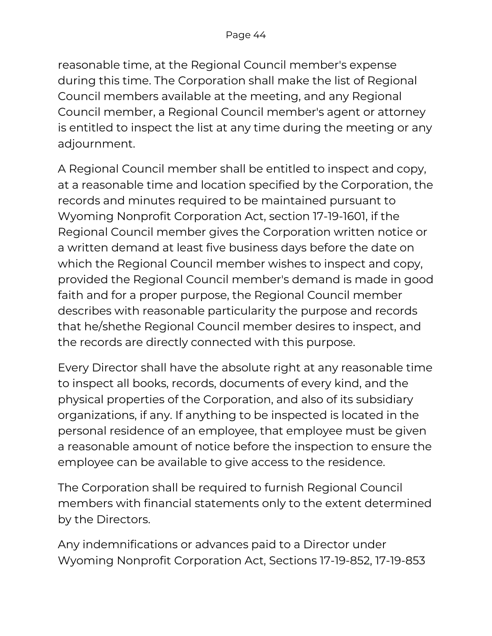reasonable time, at the Regional Council member's expense during this time. The Corporation shall make the list of Regional Council members available at the meeting, and any Regional Council member, a Regional Council member's agent or attorney is entitled to inspect the list at any time during the meeting or any adjournment.

A Regional Council member shall be entitled to inspect and copy, at a reasonable time and location specified by the Corporation, the records and minutes required to be maintained pursuant to Wyoming Nonprofit Corporation Act, section 17-19-1601, if the Regional Council member gives the Corporation written notice or a written demand at least five business days before the date on which the Regional Council member wishes to inspect and copy, provided the Regional Council member's demand is made in good faith and for a proper purpose, the Regional Council member describes with reasonable particularity the purpose and records that he/shethe Regional Council member desires to inspect, and the records are directly connected with this purpose.

Every Director shall have the absolute right at any reasonable time to inspect all books, records, documents of every kind, and the physical properties of the Corporation, and also of its subsidiary organizations, if any. If anything to be inspected is located in the personal residence of an employee, that employee must be given a reasonable amount of notice before the inspection to ensure the employee can be available to give access to the residence.

The Corporation shall be required to furnish Regional Council members with financial statements only to the extent determined by the Directors.

Any indemnifications or advances paid to a Director under Wyoming Nonprofit Corporation Act, Sections 17-19-852, 17-19-853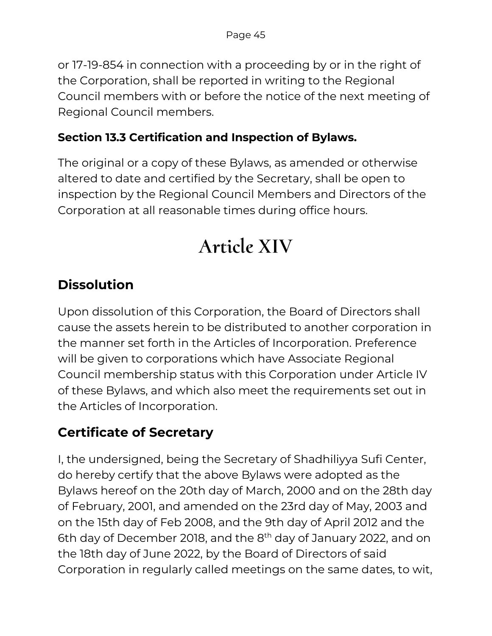or 17-19-854 in connection with a proceeding by or in the right of the Corporation, shall be reported in writing to the Regional Council members with or before the notice of the next meeting of Regional Council members.

#### **Section 13.3 Certification and Inspection of Bylaws.**

The original or a copy of these Bylaws, as amended or otherwise altered to date and certified by the Secretary, shall be open to inspection by the Regional Council Members and Directors of the Corporation at all reasonable times during office hours.

## **Article XIV**

## **Dissolution**

Upon dissolution of this Corporation, the Board of Directors shall cause the assets herein to be distributed to another corporation in the manner set forth in the Articles of Incorporation. Preference will be given to corporations which have Associate Regional Council membership status with this Corporation under Article IV of these Bylaws, and which also meet the requirements set out in the Articles of Incorporation.

## **Certificate of Secretary**

I, the undersigned, being the Secretary of Shadhiliyya Sufi Center, do hereby certify that the above Bylaws were adopted as the Bylaws hereof on the 20th day of March, 2000 and on the 28th day of February, 2001, and amended on the 23rd day of May, 2003 and on the 15th day of Feb 2008, and the 9th day of April 2012 and the 6th day of December 2018, and the 8<sup>th</sup> day of January 2022, and on the 18th day of June 2022, by the Board of Directors of said Corporation in regularly called meetings on the same dates, to wit,